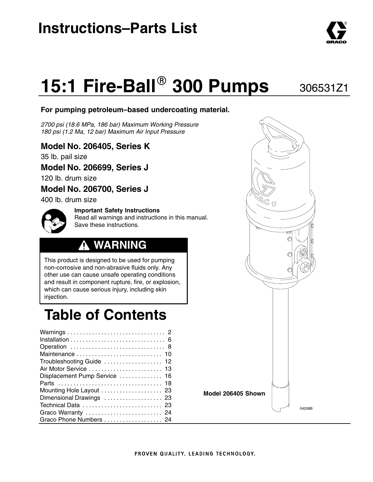## **Instructions–Parts List**

# **15:1 Fire-Ball<sup>®</sup> 300 Pumps**

#### **For pumping petroleum–based undercoating material.**

*2700 psi (18.6 MPa, 186 bar) Maximum Working Pressure 180 psi (1.2 Ma, 12 bar) Maximum Air Input Pressure*

#### **Model No. 206405, Series K**

35 lb. pail size

#### **Model No. 206699, Series J**

120 lb. drum size

#### **Model No. 206700, Series J**

400 lb. drum size

**Important Safety Instructions** Read all warnings and instructions in this manual. Save these instructions.

### **WARNING**

This product is designed to be used for pumping non-corrosive and non-abrasive fluids only. Any other use can cause unsafe operating conditions and result in component rupture, fire, or explosion, which can cause serious injury, including skin injection.

## **Table of Contents**

| Troubleshooting Guide  12     |  |
|-------------------------------|--|
| Air Motor Service  13         |  |
| Displacement Pump Service  16 |  |
|                               |  |
| Mounting Hole Layout  23      |  |
| Dimensional Drawings  23      |  |
| Technical Data  23            |  |
| Graco Warranty  24            |  |
| Graco Phone Numbers  24       |  |



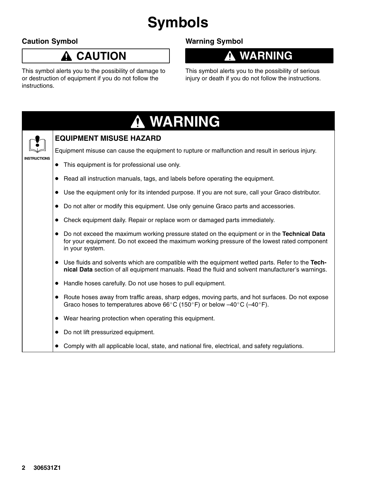## **Symbols**

#### **Caution Symbol**

### **CAUTION**

This symbol alerts you to the possibility of damage to or destruction of equipment if you do not follow the instructions.

### **Warning Symbol**

### **WARNING**

This symbol alerts you to the possibility of serious injury or death if you do not follow the instructions.



 $\bullet$ Comply with all applicable local, state, and national fire, electrical, and safety regulations.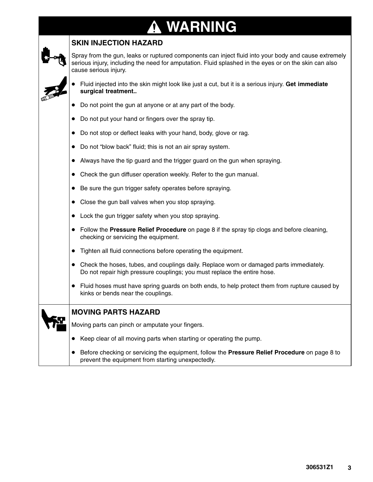#### **WARNING** T

#### **SKIN INJECTION HAZARD**

Spray from the gun, leaks or ruptured components can inject fluid into your body and cause extremely serious injury, including the need for amputation. Fluid splashed in the eyes or on the skin can also cause serious injury.



- - Fluid injected into the skin might look like just a cut, but it is a serious injury. **Get immediate surgical treatment..**
- $\bullet$ Do not point the gun at anyone or at any part of the body.
- -Do not put your hand or fingers over the spray tip.
- $\bullet$ Do not stop or deflect leaks with your hand, body, glove or rag.
- -Do not "blow back" fluid; this is not an air spray system.
- $\bullet$ Always have the tip guard and the trigger guard on the gun when spraying.
- $\bullet$ Check the gun diffuser operation weekly. Refer to the gun manual.
- $\bullet$ Be sure the gun trigger safety operates before spraying.
- $\bullet$ Close the gun ball valves when you stop spraying.
- -Lock the gun trigger safety when you stop spraying.
- - Follow the **Pressure Relief Procedure** on page 8 if the spray tip clogs and before cleaning, checking or servicing the equipment.
- -Tighten all fluid connections before operating the equipment.
- $\bullet$  Check the hoses, tubes, and couplings daily. Replace worn or damaged parts immediately. Do not repair high pressure couplings; you must replace the entire hose.
- $\bullet$  Fluid hoses must have spring guards on both ends, to help protect them from rupture caused by kinks or bends near the couplings.

| <b>MOV</b> |
|------------|
|            |

#### **MOVING PARTS HAZARD**

Moving parts can pinch or amputate your fingers.

- $\bullet$ Keep clear of all moving parts when starting or operating the pump.
- - Before checking or servicing the equipment, follow the **Pressure Relief Procedure** on page 8 to prevent the equipment from starting unexpectedly.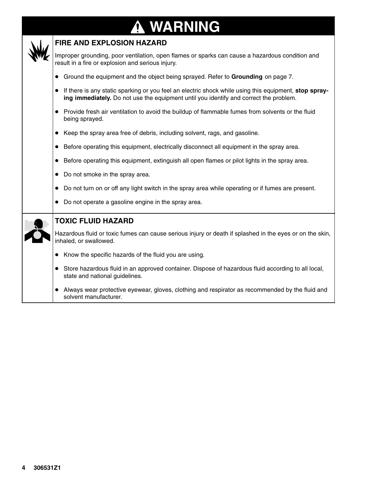#### **WARNING** T



#### **FIRE AND EXPLOSION HAZARD**

Improper grounding, poor ventilation, open flames or sparks can cause a hazardous condition and result in a fire or explosion and serious injury.

- Ground the equipment and the object being sprayed. Refer to **Grounding** on page 7.
- If there is any static sparking or you feel an electric shock while using this equipment, **stop spraying immediately.** Do not use the equipment until you identify and correct the problem.
- Provide fresh air ventilation to avoid the buildup of flammable fumes from solvents or the fluid being sprayed.
- Keep the spray area free of debris, including solvent, rags, and gasoline.
- Before operating this equipment, electrically disconnect all equipment in the spray area.
- Before operating this equipment, extinguish all open flames or pilot lights in the spray area.
- $\bullet$ Do not smoke in the spray area.
- $\bullet$ Do not turn on or off any light switch in the spray area while operating or if fumes are present.
- -Do not operate a gasoline engine in the spray area.

|  | Do not operate a gasoline engine in the spray area.<br>$\bullet$                                                                     |
|--|--------------------------------------------------------------------------------------------------------------------------------------|
|  | <b>TOXIC FLUID HAZARD</b>                                                                                                            |
|  | Hazardous fluid or toxic fumes can cause serious injury or death if splashed in the eyes or on the skin,<br>inhaled, or swallowed.   |
|  | Know the specific hazards of the fluid you are using.<br>$\bullet$                                                                   |
|  | Store hazardous fluid in an approved container. Dispose of hazardous fluid according to all local,<br>state and national guidelines. |
|  | Always wear protective eyewear, gloves, clothing and respirator as recommended by the fluid and<br>solvent manufacturer.             |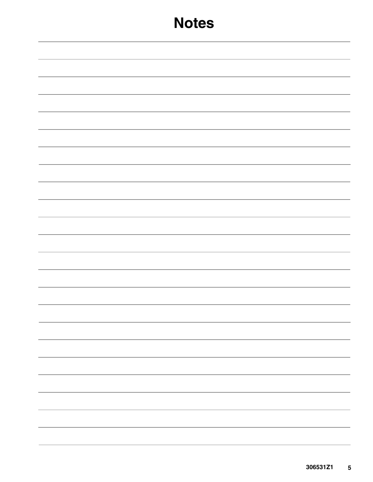## **Notes**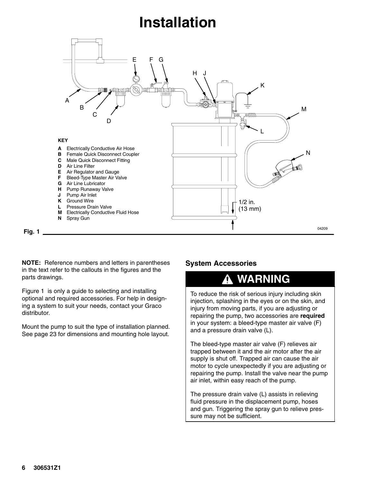## **Installation**



**NOTE:** Reference numbers and letters in parentheses in the text refer to the callouts in the figures and the parts drawings.

Figure 1 is only a guide to selecting and installing optional and required accessories. For help in designing a system to suit your needs, contact your Graco distributor.

Mount the pump to suit the type of installation planned. See page 23 for dimensions and mounting hole layout.

#### **System Accessories**

### **WARNING**

To reduce the risk of serious injury including skin injection, splashing in the eyes or on the skin, and injury from moving parts, if you are adjusting or repairing the pump, two accessories are **required** in your system: a bleed-type master air valve (F) and a pressure drain valve (L).

The bleed-type master air valve (F) relieves air trapped between it and the air motor after the air supply is shut off. Trapped air can cause the air motor to cycle unexpectedly if you are adjusting or repairing the pump. Install the valve near the pump air inlet, within easy reach of the pump.

The pressure drain valve (L) assists in relieving fluid pressure in the displacement pump, hoses and gun. Triggering the spray gun to relieve pressure may not be sufficient.

**Fig. 1**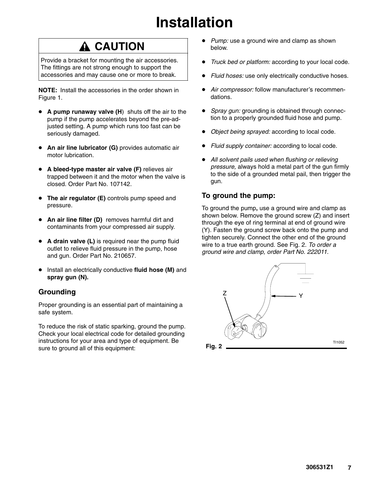## **Installation**

### **A CAUTION**

Provide a bracket for mounting the air accessories. The fittings are not strong enough to support the accessories and may cause one or more to break.

**NOTE:** Install the accessories in the order shown in Figure 1.

- **4** A pump runaway valve (H) shuts off the air to the pump if the pump accelerates beyond the pre-adjusted setting. A pump which runs too fast can be seriously damaged.
- - **An air line lubricator (G)** provides automatic air motor lubrication.
- **A bleed-type master air valve (F)** relieves air trapped between it and the motor when the valve is closed. Order Part No. 107142.
- **The air regulator (E)** controls pump speed and pressure.
- **An air line filter (D)** removes harmful dirt and contaminants from your compressed air supply.
- **A drain valve (L)** is required near the pump fluid outlet to relieve fluid pressure in the pump, hose and gun. Order Part No. 210657.
- - Install an electrically conductive **fluid hose (M)** and **spray gun (N).**

#### **Grounding**

Proper grounding is an essential part of maintaining a safe system.

To reduce the risk of static sparking, ground the pump. Check your local electrical code for detailed grounding instructions for your area and type of equipment. Be sure to ground all of this equipment:

- *Pump:* use a ground wire and clamp as shown below.
- $\bullet$ *Truck bed or platform:* according to your local code.
- $\bullet$ *Fluid hoses:* use only electrically conductive hoses.
- - *Air compressor:* follow manufacturer's recommendations.
- -*Spray gun:* grounding is obtained through connection to a properly grounded fluid hose and pump.
- -*Object being sprayed:* according to local code.
- -*Fluid supply container:* according to local code.
- $\bullet$  *All solvent pails used when flushing or relieving pressure,* always hold a metal part of the gun firmly to the side of a grounded metal pail, then trigger the gun.

#### **To ground the pump:**

To ground the pump**,** use a ground wire and clamp as shown below. Remove the ground screw (Z) and insert through the eye of ring terminal at end of ground wire (Y). Fasten the ground screw back onto the pump and tighten securely. Connect the other end of the ground wire to a true earth ground. See Fig. 2. *To order a ground wire and clamp, order Part No. 222011.*

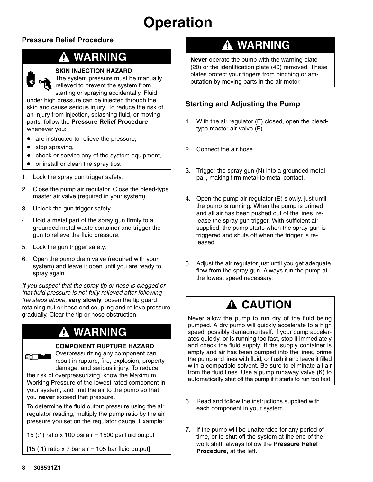## **Operation**

#### **Pressure Relief Procedure**

### **WARNING**



#### **SKIN INJECTION HAZARD**

The system pressure must be manually relieved to prevent the system from starting or spraying accidentally. Fluid under high pressure can be injected through the skin and cause serious injury. To reduce the risk of an injury from injection, splashing fluid, or moving parts, follow the **Pressure Relief Procedure**

- $\bullet$ are instructed to relieve the pressure,
- $\bullet$ stop spraying,

whenever you:

- $\bullet$ check or service any of the system equipment,
- $\bullet$ or install or clean the spray tips.
- 1. Lock the spray gun trigger safety.
- 2. Close the pump air regulator. Close the bleed-type master air valve (required in your system).
- 3. Unlock the gun trigger safety.
- 4. Hold a metal part of the spray gun firmly to a grounded metal waste container and trigger the gun to relieve the fluid pressure.
- 5. Lock the gun trigger safety.
- 6. Open the pump drain valve (required with your system) and leave it open until you are ready to spray again.

*If you suspect that the spray tip or hose is clogged or that fluid pressure is not fully relieved after following the steps above,* **very slowly** loosen the tip guard retaining nut or hose end coupling and relieve pressure gradually. Clear the tip or hose obstruction.

### **WARNING**

#### **COMPONENT RUPTURE HAZARD**



Overpressurizing any component can result in rupture, fire, explosion, property damage, and serious injury. To reduce

the risk of overpressurizing, know the Maximum Working Pressure of the lowest rated component in your system, and limit the air to the pump so that you **never** exceed that pressure.

To determine the fluid output pressure using the air regulator reading, multiply the pump ratio by the air pressure you set on the regulator gauge. Example:

15 (:1) ratio x 100 psi air = 1500 psi fluid output

 $[15$  (:1) ratio x 7 bar air = 105 bar fluid output]

### **WARNING**

**Never** operate the pump with the warning plate (20) or the identification plate (40) removed. These plates protect your fingers from pinching or amputation by moving parts in the air motor.

#### **Starting and Adjusting the Pump**

- 1. With the air regulator (E) closed, open the bleedtype master air valve (F).
- 2. Connect the air hose.
- 3. Trigger the spray gun (N) into a grounded metal pail, making firm metal-to-metal contact.
- 4. Open the pump air regulator (E) slowly, just until the pump is running. When the pump is primed and all air has been pushed out of the lines, release the spray gun trigger. With sufficient air supplied, the pump starts when the spray gun is triggered and shuts off when the trigger is released.
- 5. Adjust the air regulator just until you get adequate flow from the spray gun. Always run the pump at the lowest speed necessary.

### **A CAUTION**

Never allow the pump to run dry of the fluid being pumped. A dry pump will quickly accelerate to a high speed, possibly damaging itself. If your pump accelerates quickly, or is running too fast, stop it immediately and check the fluid supply. If the supply container is empty and air has been pumped into the lines, prime the pump and lines with fluid, or flush it and leave it filled with a compatible solvent. Be sure to eliminate all air from the fluid lines. Use a pump runaway valve (K) to automatically shut off the pump if it starts to run too fast.

- 6. Read and follow the instructions supplied with each component in your system.
- 7. If the pump will be unattended for any period of time, or to shut off the system at the end of the work shift, always follow the **Pressure Relief Procedure**, at the left.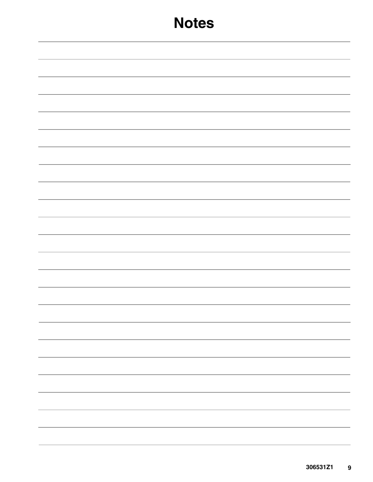## **Notes**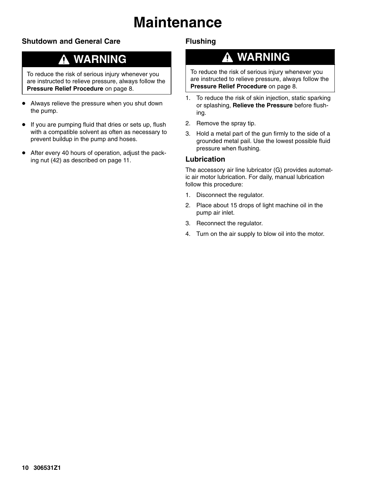## **Maintenance**

#### **Shutdown and General Care**

### **WARNING**

To reduce the risk of serious injury whenever you are instructed to relieve pressure, always follow the **Pressure Relief Procedure** on page 8.

- Always relieve the pressure when you shut down the pump.
- If you are pumping fluid that dries or sets up, flush with a compatible solvent as often as necessary to prevent buildup in the pump and hoses.
- $\bullet$  After every 40 hours of operation, adjust the packing nut (42) as described on page 11.

#### **Flushing**

### **WARNING**

To reduce the risk of serious injury whenever you are instructed to relieve pressure, always follow the **Pressure Relief Procedure** on page 8.

- 1. To reduce the risk of skin injection, static sparking or splashing, **Relieve the Pressure** before flushing.
- 2. Remove the spray tip.
- 3. Hold a metal part of the gun firmly to the side of a grounded metal pail. Use the lowest possible fluid pressure when flushing.

#### **Lubrication**

The accessory air line lubricator (G) provides automatic air motor lubrication. For daily, manual lubrication follow this procedure:

- 1. Disconnect the regulator.
- 2. Place about 15 drops of light machine oil in the pump air inlet.
- 3. Reconnect the regulator.
- 4. Turn on the air supply to blow oil into the motor.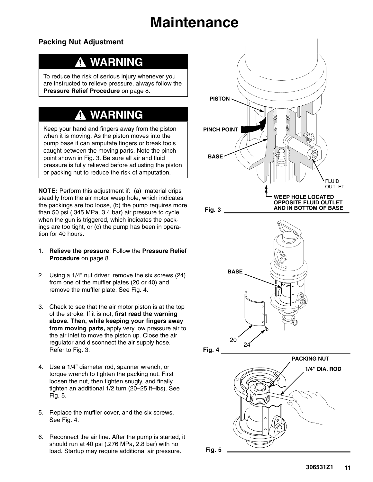## **Maintenance**

#### **Packing Nut Adjustment**

### **WARNING**

To reduce the risk of serious injury whenever you are instructed to relieve pressure, always follow the **Pressure Relief Procedure** on page 8.

### **WARNING**

Keep your hand and fingers away from the piston when it is moving. As the piston moves into the pump base it can amputate fingers or break tools caught between the moving parts. Note the pinch point shown in Fig. 3. Be sure all air and fluid pressure is fully relieved before adjusting the piston or packing nut to reduce the risk of amputation.

**NOTE:** Perform this adjustment if: (a) material drips steadily from the air motor weep hole, which indicates the packings are too loose, (b) the pump requires more than 50 psi (.345 MPa, 3.4 bar) air pressure to cycle when the gun is triggered, which indicates the packings are too tight, or (c) the pump has been in operation for 40 hours.

- 1. **Relieve the pressure**. Follow the **Pressure Relief Procedure** on page 8.
- 2. Using a 1/4" nut driver, remove the six screws (24) from one of the muffler plates (20 or 40) and remove the muffler plate. See Fig. 4.
- 3. Check to see that the air motor piston is at the top of the stroke. If it is not, **first read the warning above. Then, while keeping your fingers away from moving parts,** apply very low pressure air to the air inlet to move the piston up. Close the air regulator and disconnect the air supply hose. Refer to Fig. 3.
- 4. Use a 1/4" diameter rod, spanner wrench, or torque wrench to tighten the packing nut. First loosen the nut, then tighten snugly, and finally tighten an additional 1/2 turn (20–25 ft–lbs). See Fig. 5.
- 5. Replace the muffler cover, and the six screws. See Fig. 4.
- 6. Reconnect the air line. After the pump is started, it should run at 40 psi (.276 MPa, 2.8 bar) with no load. Startup may require additional air pressure.

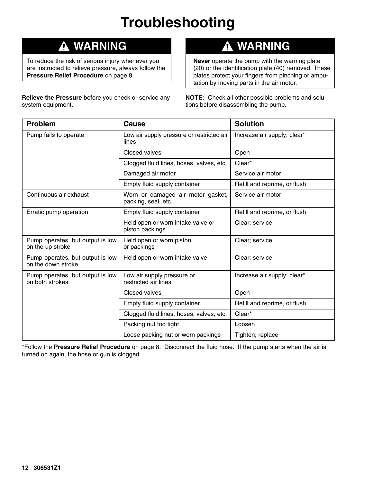## **Troubleshooting**

### **WARNING**

To reduce the risk of serious injury whenever you are instructed to relieve pressure, always follow the **Pressure Relief Procedure** on page 8.

**Relieve the Pressure** before you check or service any system equipment.

#### **WARNING** 4

**Never** operate the pump with the warning plate (20) or the identification plate (40) removed. These plates protect your fingers from pinching or amputation by moving parts in the air motor.

**NOTE:** Check all other possible problems and solutions before disassembling the pump.

| <b>Problem</b>                                         | Cause                                                    | <b>Solution</b>              |
|--------------------------------------------------------|----------------------------------------------------------|------------------------------|
| Pump fails to operate                                  | Low air supply pressure or restricted air<br>lines       | Increase air supply; clear*  |
|                                                        | Closed valves                                            | Open                         |
|                                                        | Clogged fluid lines, hoses, valves, etc.                 | Clear*                       |
|                                                        | Damaged air motor                                        | Service air motor            |
|                                                        | Empty fluid supply container                             | Refill and reprime, or flush |
| Continuous air exhaust                                 | Worn or damaged air motor gasket,<br>packing, seal, etc. | Service air motor            |
| Erratic pump operation                                 | Empty fluid supply container                             | Refill and reprime, or flush |
|                                                        | Held open or worn intake valve or<br>piston packings     | Clear; service               |
| Pump operates, but output is low<br>on the up stroke   | Held open or worn piston<br>or packings                  | Clear; service               |
| Pump operates, but output is low<br>on the down stroke | Held open or worn intake valve                           | Clear; service               |
| Pump operates, but output is low<br>on both strokes    | Low air supply pressure or<br>restricted air lines       | Increase air supply; clear*  |
|                                                        | Closed valves                                            | Open                         |
|                                                        | Empty fluid supply container                             | Refill and reprime, or flush |
|                                                        | Clogged fluid lines, hoses, valves, etc.                 | Clear*                       |
|                                                        | Packing nut too tight                                    | Loosen                       |
|                                                        | Loose packing nut or worn packings                       | Tighten; replace             |

\*Follow the **Pressure Relief Procedure** on page 8. Disconnect the fluid hose. If the pump starts when the air is turned on again, the hose or gun is clogged.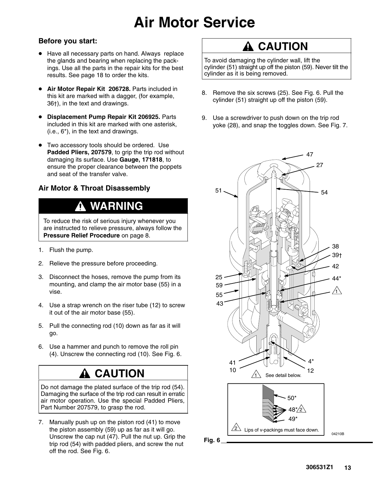## **Air Motor Service**

#### **Before you start:**

- Have all necessary parts on hand. Always replace the glands and bearing when replacing the packings. Use all the parts in the repair kits for the best results. See page 18 to order the kits.
- - **Air Motor Repair Kit 206728.** Parts included in this kit are marked with a dagger, (for example, 36†), in the text and drawings.
- $\bullet$  **Displacement Pump Repair Kit 206925.** Parts included in this kit are marked with one asterisk, (i.e., 6\*), in the text and drawings.
- Two accessory tools should be ordered. Use **Padded Pliers, 207579**, to grip the trip rod without damaging its surface. Use **Gauge, 171818**, to ensure the proper clearance between the poppets and seat of the transfer valve.

#### **Air Motor & Throat Disassembly**

### **WARNING**

To reduce the risk of serious injury whenever you are instructed to relieve pressure, always follow the **Pressure Relief Procedure** on page 8.

- 1. Flush the pump.
- 2. Relieve the pressure before proceeding.
- 3. Disconnect the hoses, remove the pump from its mounting, and clamp the air motor base (55) in a vise.
- 4. Use a strap wrench on the riser tube (12) to screw it out of the air motor base (55).
- 5. Pull the connecting rod (10) down as far as it will go.
- 6. Use a hammer and punch to remove the roll pin (4). Unscrew the connecting rod (10). See Fig. 6.

### **A** CAUTION

Do not damage the plated surface of the trip rod (54). Damaging the surface of the trip rod can result in erratic air motor operation. Use the special Padded Pliers, Part Number 207579, to grasp the rod.

7. Manually push up on the piston rod (41) to move the piston assembly (59) up as far as it will go. Unscrew the cap nut (47). Pull the nut up. Grip the trip rod (54) with padded pliers, and screw the nut off the rod. See Fig. 6.

### **A CAUTION**

To avoid damaging the cylinder wall, lift the cylinder (51) straight up off the piston (59). Never tilt the cylinder as it is being removed.

- 8. Remove the six screws (25). See Fig. 6. Pull the cylinder (51) straight up off the piston (59).
- 9. Use a screwdriver to push down on the trip rod yoke (28), and snap the toggles down. See Fig. 7.

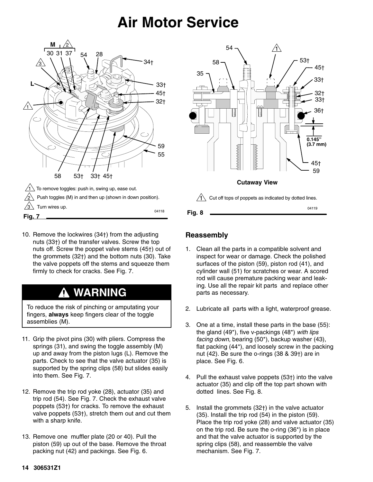## **Air Motor Service**



10. Remove the lockwires (34†) from the adjusting nuts (33†) of the transfer valves. Screw the top nuts off. Screw the poppet valve stems (45†) out of the grommets (32†) and the bottom nuts (30). Take the valve poppets off the stems and squeeze them firmly to check for cracks. See Fig. 7.

### **WARNING**

To reduce the risk of pinching or amputating your fingers, **always** keep fingers clear of the toggle assemblies (M).

- 11. Grip the pivot pins (30) with pliers. Compress the springs (31), and swing the toggle assembly (M) up and away from the piston lugs (L). Remove the parts. Check to see that the valve actuator (35) is supported by the spring clips (58) but slides easily into them. See Fig. 7.
- 12. Remove the trip rod yoke (28), actuator (35) and trip rod (54). See Fig. 7. Check the exhaust valve poppets (53†) for cracks. To remove the exhaust valve poppets (53†), stretch them out and cut them with a sharp knife.
- 13. Remove one muffler plate (20 or 40). Pull the piston (59) up out of the base. Remove the throat packing nut (42) and packings. See Fig. 6.



#### **Reassembly**

- 1. Clean all the parts in a compatible solvent and inspect for wear or damage. Check the polished surfaces of the piston (59), piston rod (41), and cylinder wall (51) for scratches or wear. A scored rod will cause premature packing wear and leaking. Use all the repair kit parts and replace other parts as necessary.
- 2. Lubricate all parts with a light, waterproof grease.
- 3. One at a time, install these parts in the base (55): the gland (49\*), five v-packings (48\*) *with lips facing down*, bearing (50\*), backup washer (43), flat packing (44\*), and loosely screw in the packing nut (42). Be sure the o-rings (38 & 39†) are in place. See Fig. 6.
- 4. Pull the exhaust valve poppets (53†) into the valve actuator (35) and clip off the top part shown with dotted lines. See Fig. 8.
- 5. Install the grommets (32†) in the valve actuator (35). Install the trip rod (54) in the piston (59). Place the trip rod yoke (28) and valve actuator (35) on the trip rod. Be sure the o-ring (36\*) is in place and that the valve actuator is supported by the spring clips (58), and reassemble the valve mechanism. See Fig. 7.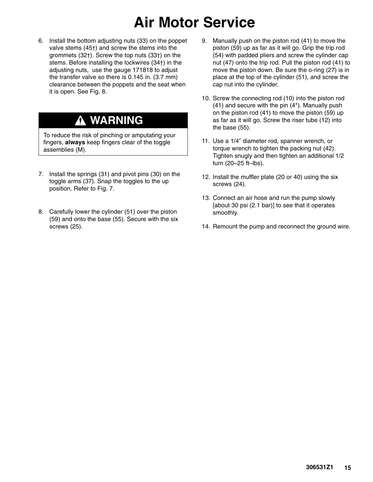## **Air Motor Service**

6. Install the bottom adjusting nuts (33) on the poppet valve stems (45†) and screw the stems into the grommets (32†). Screw the top nuts (33†) on the stems. Before installing the lockwires (34†) in the adjusting nuts, use the gauge 171818 to adjust the transfer valve so there is 0.145 in. (3.7 mm) clearance between the poppets and the seat when it is open. See Fig. 8.

### **WARNING**

To reduce the risk of pinching or amputating your fingers, **always** keep fingers clear of the toggle assemblies (M).

- 7. Install the springs (31) and pivot pins (30) on the toggle arms (37). Snap the toggles to the up position. Refer to Fig. 7.
- 8. Carefully lower the cylinder (51) over the piston (59) and onto the base (55). Secure with the six screws (25).
- 9. Manually push on the piston rod (41) to move the piston (59) up as far as it will go. Grip the trip rod (54) with padded pliers and screw the cylinder cap nut (47) onto the trip rod. Pull the piston rod (41) to move the piston down. Be sure the o-ring (27) is in place at the top of the cylinder (51), and screw the cap nut into the cylinder.
- 10. Screw the connecting rod (10) into the piston rod (41) and secure with the pin (4\*). Manually push on the piston rod (41) to move the piston (59) up as far as it will go. Screw the riser tube (12) into the base (55).
- 11. Use a 1/4" diameter rod, spanner wrench, or torque wrench to tighten the packing nut (42). Tighten snugly and then tighten an additional 1/2 turn (20–25 ft–lbs).
- 12. Install the muffler plate (20 or 40) using the six screws (24).
- 13. Connect an air hose and run the pump slowly [about 30 psi (2.1 bar)] to see that it operates smoothly.
- 14. Remount the pump and reconnect the ground wire.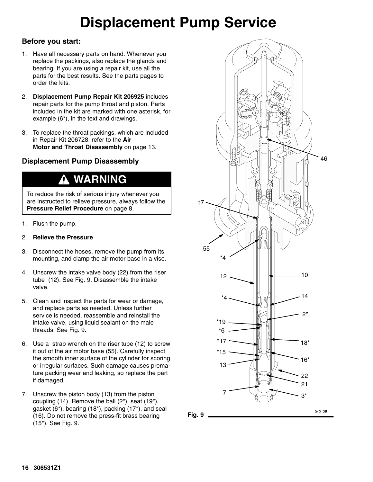## **Displacement Pump Service**

#### **Before you start:**

- 1. Have all necessary parts on hand. Whenever you replace the packings, also replace the glands and bearing. If you are using a repair kit, use all the parts for the best results. See the parts pages to order the kits.
- 2. **Displacement Pump Repair Kit 206925** includes repair parts for the pump throat and piston. Parts included in the kit are marked with one asterisk, for example (6\*), in the text and drawings.
- 3. To replace the throat packings, which are included in Repair Kit 206728, refer to the **Air Motor and Throat Disassembly** on page 13.

#### **Displacement Pump Disassembly**

### **WARNING**

To reduce the risk of serious injury whenever you are instructed to relieve pressure, always follow the **Pressure Relief Procedure** on page 8.

- 1. Flush the pump.
- 2. **Relieve the Pressure**
- 3. Disconnect the hoses, remove the pump from its mounting, and clamp the air motor base in a vise.
- 4. Unscrew the intake valve body (22) from the riser tube (12). See Fig. 9. Disassemble the intake valve.
- 5. Clean and inspect the parts for wear or damage, and replace parts as needed. Unless further service is needed, reassemble and reinstall the intake valve, using liquid sealant on the male threads. See Fig. 9.
- 6. Use a strap wrench on the riser tube (12) to screw it out of the air motor base (55). Carefully inspect the smooth inner surface of the cylinder for scoring or irregular surfaces. Such damage causes premature packing wear and leaking, so replace the part if damaged.
- 7. Unscrew the piston body (13) from the piston coupling (14). Remove the ball (2\*), seat (19\*), gasket (6\*), bearing (18\*), packing (17\*), and seal (16). Do not remove the press-fit brass bearing (15\*). See Fig. 9.



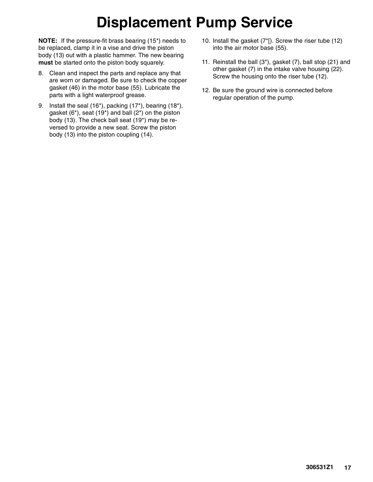## **Displacement Pump Service**

**NOTE:** If the pressure-fit brass bearing (15\*) needs to be replaced, clamp it in a vise and drive the piston body (13) out with a plastic hammer. The new bearing **must** be started onto the piston body squarely.

- 8. Clean and inspect the parts and replace any that are worn or damaged. Be sure to check the copper gasket (46) in the motor base (55). Lubricate the parts with a light waterproof grease.
- 9. Install the seal (16\*), packing (17\*), bearing (18\*), gasket  $(6^*)$ , seat  $(19^*)$  and ball  $(2^*)$  on the piston body (13). The check ball seat (19\*) may be reversed to provide a new seat. Screw the piston body (13) into the piston coupling (14).
- 10. Install the gasket (7\*[). Screw the riser tube (12) into the air motor base (55).
- 11. Reinstall the ball (3\*), gasket (7), ball stop (21) and other gasket (7) in the intake valve housing (22). Screw the housing onto the riser tube (12).
- 12. Be sure the ground wire is connected before regular operation of the pump.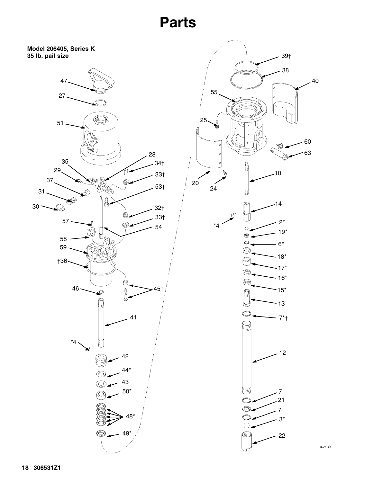**Parts**



04213B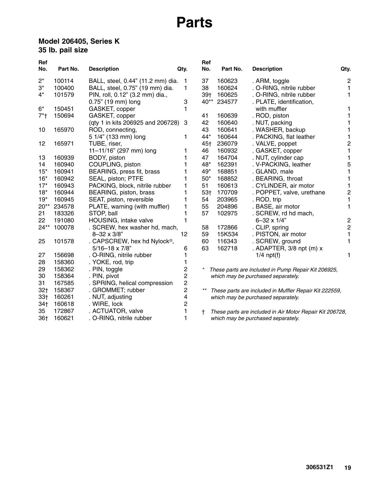## **Parts**

#### **Model 206405, Series K 35 lb. pail size**

| Ref<br>No.      | Part No. | <b>Description</b>                       | Qty.           | Ref<br>No.      | Part No.    | <b>Description</b>                                       | Qty.           |
|-----------------|----------|------------------------------------------|----------------|-----------------|-------------|----------------------------------------------------------|----------------|
|                 |          |                                          |                |                 |             |                                                          |                |
| $2^*$           | 100114   | BALL, steel, 0.44" (11.2 mm) dia.        | 1              | 37              | 160623      | . ARM, toggle                                            | $\overline{2}$ |
| $3^*$           | 100400   | BALL, steel, 0.75" (19 mm) dia.          | 1              | 38              | 160624      | . O-RING, nitrile rubber                                 |                |
| $4^*$           | 101579   | PIN, roll, 0.12" (3.2 mm) dia.,          |                | 39 <sub>†</sub> | 160625      | . O-RING, nitrile rubber                                 | 1              |
|                 |          | 0.75" (19 mm) long                       | 3              |                 | 40** 234577 | . PLATE, identification,                                 |                |
| $6*$            | 150451   | GASKET, copper                           | 1              |                 |             | with muffler                                             |                |
| $7*$            | 150694   | GASKET, copper                           |                | 41              | 160639      | . ROD, piston                                            |                |
|                 |          | (qty 1 in kits 206925 and 206728)        | 3              | 42              | 160640      | . NUT, packing                                           |                |
| 10              | 165970   | ROD, connecting,                         |                | 43              | 160641      | . WASHER, backup                                         |                |
|                 |          | 5 1/4" (133 mm) long                     | 1              | $44*$           | 160644      | . PACKING, flat leather                                  |                |
| 12              | 165971   | TUBE, riser,                             |                | 45†             | 236079      | . VALVE, poppet                                          | 2              |
|                 |          | 11-11/16" (297 mm) long                  | 1              | 46              | 160932      | . GASKET, copper                                         |                |
| 13              | 160939   | BODY, piston                             | 1              | 47              | 164704      | . NUT, cylinder cap                                      |                |
| 14              | 160940   | COUPLING, piston                         |                | 48*             | 162391      | . V-PACKING, leather                                     | 5              |
| $15*$           | 160941   | BEARING, press fit, brass                |                | 49*             | 168851      | . GLAND, male                                            |                |
| $16*$           | 160942   | SEAL, piston; PTFE                       | 1              | $50*$           | 168852      | . BEARING, throat                                        |                |
| $17*$           | 160943   | PACKING, block, nitrile rubber           | 1              | 51              | 160613      | . CYLINDER, air motor                                    |                |
| $18*$           | 160944   | BEARING, piston, brass                   | 1              | 53†             | 170709      | . POPPET, valve, urethane                                | 2              |
| $19*$           | 160945   | SEAT, piston, reversible                 |                | 54              | 203965      | . ROD, trip                                              |                |
| $20**$          | 234578   | PLATE, warning (with muffler)            | 1              | 55              | 204896      | . BASE, air motor                                        |                |
| 21              | 183326   | STOP, ball                               | 1              | 57              | 102975      | . SCREW, rd hd mach,                                     |                |
| 22              | 191080   | HOUSING, intake valve                    | 1              |                 |             | $6 - 32 \times 1/4$ "                                    | $\overline{c}$ |
| $24**$          | 100078   | . SCREW, hex washer hd, mach,            |                | 58              | 172866      | . CLIP, spring                                           | $\overline{2}$ |
|                 |          | $8 - 32 \times 3/8$ "                    | 12             | 59              | 15K534      | . PISTON, air motor                                      |                |
| 25              | 101578   | . CAPSCREW, hex hd Nylock <sup>®</sup> , |                | 60              | 116343      | . SCREW, ground                                          |                |
|                 |          | $5/16 - 18 \times 7/8$ "                 | 6              | 63              | 162718      | . ADAPTER, 3/8 npt (m) x                                 |                |
| 27              | 156698   | . O-RING, nitrile rubber                 |                |                 |             | $1/4$ npt $(f)$                                          |                |
| 28              | 158360   | . YOKE, rod, trip                        | 1              |                 |             |                                                          |                |
| 29              | 158362   | . PIN, toggle                            | $\overline{c}$ | $\ast$          |             | These parts are included in Pump Repair Kit 206925,      |                |
| 30              | 158364   | . PIN, pivot                             | $\overline{c}$ |                 |             | which may be purchased separately.                       |                |
| 31              | 167585   | . SPRING, helical compression            | $\overline{c}$ |                 |             |                                                          |                |
| 32 <sub>1</sub> | 158367   | . GROMMET; rubber                        | $\overline{c}$ |                 |             | These parts are included in Muffler Repair Kit 222559,   |                |
| 33 <sub>†</sub> | 160261   | . NUT, adjusting                         | 4              |                 |             | which may be purchased separately.                       |                |
| 34 <sub>†</sub> | 160618   | . WIRE, lock                             | $\overline{c}$ |                 |             |                                                          |                |
| 35              | 172867   | . ACTUATOR, valve                        |                | t               |             | These parts are included in Air Motor Repair Kit 206728, |                |
| 36†             | 160621   | . O-RING, nitrile rubber                 | 1              |                 |             | which may be purchased separately.                       |                |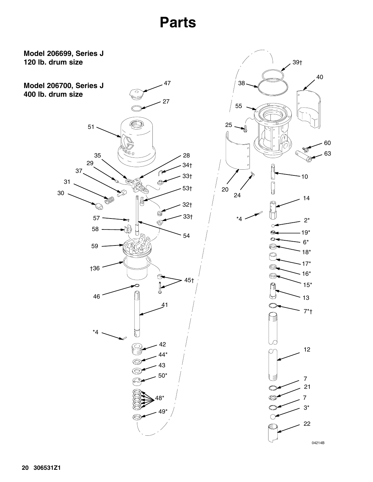**Parts**

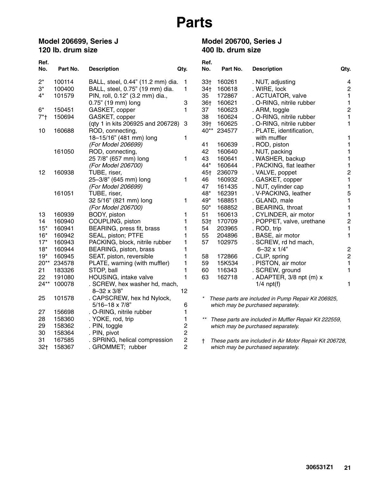**Model 206700, Series J** 

**400 lb. drum size**

#### **Model 206699, Series J 120 lb. drum size**

| Ref.            |          |                                   |                | Ref.            |          |                                                          |                |
|-----------------|----------|-----------------------------------|----------------|-----------------|----------|----------------------------------------------------------|----------------|
| No.             | Part No. | <b>Description</b>                | Qty.           | No.             | Part No. | <b>Description</b>                                       | Qty.           |
| $2^*$           | 100114   | BALL, steel, 0.44" (11.2 mm) dia. | 1              | 33 <sub>†</sub> | 160261   | . NUT, adjusting                                         | 4              |
| $3^*$           | 100400   | BALL, steel, 0.75" (19 mm) dia.   | 1              | 34†             | 160618   | . WIRE, lock                                             | $\overline{c}$ |
| 4*              | 101579   | PIN, roll, 0.12" (3.2 mm) dia.,   |                | 35              | 172867   | . ACTUATOR, valve                                        | $\mathbf{1}$   |
|                 |          | 0.75" (19 mm) long                | 3              | 36†             | 160621   | . O-RING, nitrile rubber                                 | 1              |
| $6*$            | 150451   | GASKET, copper                    | 1              | 37              | 160623   | . ARM, toggle                                            | $\overline{c}$ |
| $7*$            | 150694   | GASKET, copper                    |                | 38              | 160624   | . O-RING, nitrile rubber                                 | 1              |
|                 |          | (qty 1 in kits 206925 and 206728) | 3              | $39+$           | 160625   | . O-RING, nitrile rubber                                 | 1              |
| 10              | 160688   | ROD, connecting,                  |                | $40**$          | 234577   | . PLATE, identification,                                 |                |
|                 |          | 18-15/16" (481 mm) long           | 1              |                 |          | with muffler                                             | 1              |
|                 |          | (For Model 206699)                |                | 41              | 160639   | . ROD, piston                                            | 1              |
|                 | 161050   | ROD, connecting,                  |                | 42              | 160640   | . NUT, packing                                           | 1              |
|                 |          | 25 7/8" (657 mm) long             | 1              | 43              | 160641   | . WASHER, backup                                         | 1              |
|                 |          | (For Model 206700)                |                | 44*             | 160644   | . PACKING, flat leather                                  | 1              |
| 12              | 160938   | TUBE, riser,                      |                | 45†             | 236079   | . VALVE, poppet                                          | $\overline{c}$ |
|                 |          | 25-3/8" (645 mm) long             | 1              | 46              | 160932   | . GASKET, copper                                         | 1              |
|                 |          | (For Model 206699)                |                | 47              | 161435   | . NUT, cylinder cap                                      | 1              |
|                 | 161051   | TUBE, riser,                      |                | 48*             | 162391   | . V-PACKING, leather                                     | 5              |
|                 |          | 32 5/16" (821 mm) long            | 1              | 49*             | 168851   | . GLAND, male                                            | $\mathbf{1}$   |
|                 |          | (For Model 206700)                |                | $50*$           | 168852   | . BEARING, throat                                        | 1              |
| 13              | 160939   | BODY, piston                      | 1              | 51              | 160613   | . CYLINDER, air motor                                    | 1              |
| 14              | 160940   | COUPLING, piston                  | 1              | 53 <sub>†</sub> | 170709   | . POPPET, valve, urethane                                | $\overline{c}$ |
| $15*$           | 160941   | BEARING, press fit, brass         | 1              | 54              | 203965   | . ROD, trip                                              | 1              |
| $16*$           | 160942   | SEAL, piston; PTFE                | 1              | 55              | 204896   | . BASE, air motor                                        | $\mathbf{1}$   |
| $17*$           | 160943   | PACKING, block, nitrile rubber    | 1              | 57              | 102975   | . SCREW, rd hd mach,                                     |                |
| $18*$           | 160944   | BEARING, piston, brass            | 1              |                 |          | $6 - 32 \times 1/4$ "                                    |                |
| $19*$           | 160945   | SEAT, piston, reversible          | 1              | 58              | 172866   | . CLIP, spring                                           | $\frac{2}{2}$  |
| $20**$          | 234578   | PLATE, warning (with muffler)     | 1              | 59              | 15K534   | . PISTON, air motor                                      | 1              |
| 21              | 183326   | STOP, ball                        | 1              | 60              | 116343   | . SCREW, ground                                          | 1              |
| 22              | 191080   | HOUSING, intake valve             | 1              | 63              | 162718   | . ADAPTER, $3/8$ npt (m) $x$                             |                |
| 24**            | 100078   | . SCREW, hex washer hd, mach,     |                |                 |          | $1/4$ npt(f)                                             | 1              |
|                 |          | $8 - 32 \times 3/8$ "             | 12             |                 |          |                                                          |                |
| 25              | 101578   | . CAPSCREW, hex hd Nylock,        |                | $^{\star}$      |          | These parts are included in Pump Repair Kit 206925,      |                |
|                 |          | 5/16-18 x 7/8"                    | 6              |                 |          | which may be purchased separately.                       |                |
| 27              | 156698   | . O-RING, nitrile rubber          | 1              |                 |          |                                                          |                |
| 28              | 158360   | . YOKE, rod, trip                 | 1              |                 |          | These parts are included in Muffler Repair Kit 222559,   |                |
| 29              | 158362   | . PIN, toggle                     | 2              |                 |          | which may be purchased separately.                       |                |
| 30              | 158364   | . PIN, pivot                      | 2              |                 |          |                                                          |                |
| 31              | 167585   | . SPRING, helical compression     | $\overline{c}$ | t               |          | These parts are included in Air Motor Repair Kit 206728, |                |
| 32 <sub>1</sub> | 158367   | . GROMMET; rubber                 | 2              |                 |          | which may be purchased separately.                       |                |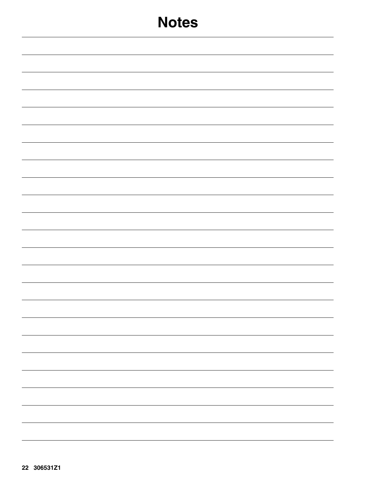| <b>Notes</b> |
|--------------|
|              |
|              |
|              |
|              |
|              |
|              |
|              |
|              |
|              |
|              |
|              |
|              |
|              |
|              |
|              |
|              |
| -            |
|              |
|              |
|              |
|              |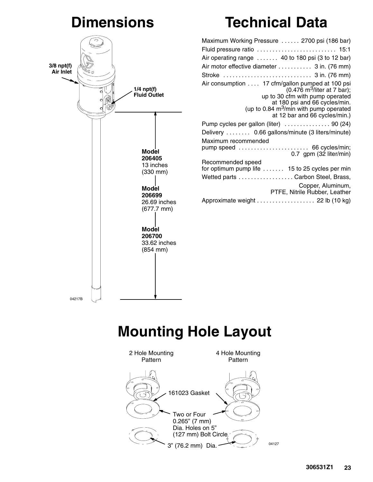## **Dimensions**



## **Technical Data**

| Fluid pressure ratio  15:1                                                                                                                                                                                                                                 |
|------------------------------------------------------------------------------------------------------------------------------------------------------------------------------------------------------------------------------------------------------------|
| Air operating range  40 to 180 psi (3 to 12 bar)                                                                                                                                                                                                           |
| Air motor effective diameter 3 in. (76 mm)                                                                                                                                                                                                                 |
|                                                                                                                                                                                                                                                            |
| Air consumption 17 cfm/gallon pumped at 100 psi<br>$(0.476 \text{ m}^3/\text{liter}$ at 7 bar);<br>up to 30 cfm with pump operated<br>at 180 psi and 66 cycles/min.<br>(up to 0.84 m <sup>3</sup> /min with pump operated<br>at 12 bar and 66 cycles/min.) |
| Pump cycles per gallon (liter)  90 (24)                                                                                                                                                                                                                    |
| Delivery  0.66 gallons/minute (3 liters/minute)                                                                                                                                                                                                            |
| Maximum recommended                                                                                                                                                                                                                                        |
| pump speed  66 cycles/min;<br>0.7 gpm (32 liter/min)                                                                                                                                                                                                       |
| Recommended speed                                                                                                                                                                                                                                          |
| for optimum pump life  15 to 25 cycles per min                                                                                                                                                                                                             |
| Wetted parts Carbon Steel, Brass,                                                                                                                                                                                                                          |
| Copper, Aluminum,<br>PTFE, Nitrile Rubber, Leather                                                                                                                                                                                                         |
| Approximate weight 22 lb (10 kg)                                                                                                                                                                                                                           |

## **Mounting Hole Layout**